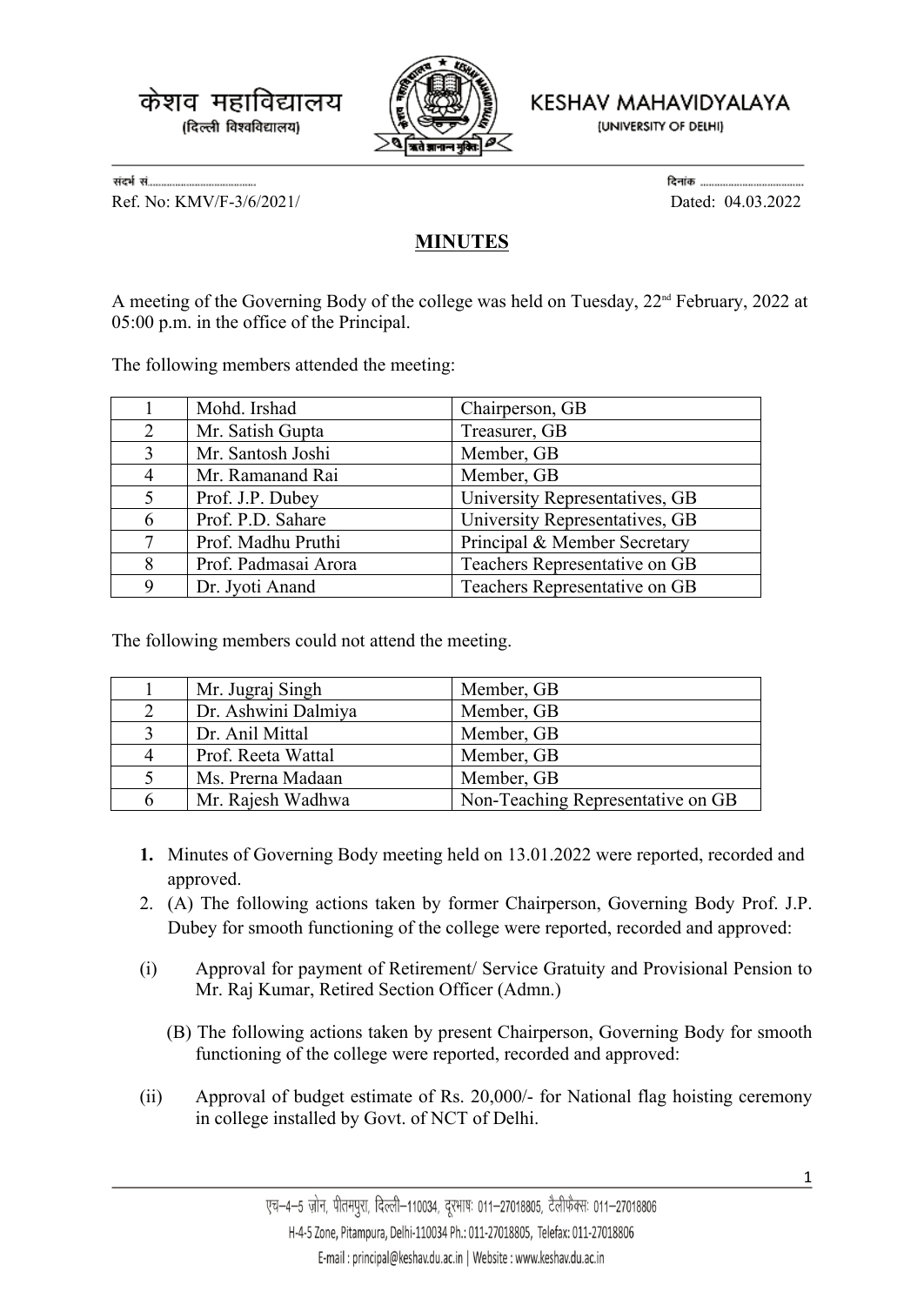केशव महाविद्यालय (दिल्ली विश्वविद्यालय)



KESHAV MAHAVIDYALAYA

(UNIVERSITY OF DELHI)

Ref. No: KMV/F-3/6/2021/ Dated: 04.03.2022

## **MINUTES**

A meeting of the Governing Body of the college was held on Tuesday, 22nd February, 2022 at 05:00 p.m. in the office of the Principal.

The following members attended the meeting:

|   | Mohd. Irshad         | Chairperson, GB                |
|---|----------------------|--------------------------------|
|   | Mr. Satish Gupta     | Treasurer, GB                  |
| 3 | Mr. Santosh Joshi    | Member, GB                     |
|   | Mr. Ramanand Rai     | Member, GB                     |
|   | Prof. J.P. Dubey     | University Representatives, GB |
|   | Prof. P.D. Sahare    | University Representatives, GB |
|   | Prof. Madhu Pruthi   | Principal & Member Secretary   |
|   | Prof. Padmasai Arora | Teachers Representative on GB  |
|   | Dr. Jyoti Anand      | Teachers Representative on GB  |

The following members could not attend the meeting.

| Mr. Jugraj Singh    | Member, GB                        |
|---------------------|-----------------------------------|
| Dr. Ashwini Dalmiya | Member, GB                        |
| Dr. Anil Mittal     | Member, GB                        |
| Prof. Reeta Wattal  | Member, GB                        |
| Ms. Prerna Madaan   | Member, GB                        |
| Mr. Rajesh Wadhwa   | Non-Teaching Representative on GB |

- **1.** Minutes of Governing Body meeting held on 13.01.2022 were reported, recorded and approved.
- 2. (A) The following actions taken by former Chairperson, Governing Body Prof. J.P. Dubey for smooth functioning of the college were reported, recorded and approved:
- (i) Approval for payment of Retirement/ Service Gratuity and Provisional Pension to Mr. Raj Kumar, Retired Section Officer (Admn.)
	- (B) The following actions taken by present Chairperson, Governing Body for smooth functioning of the college were reported, recorded and approved:
- (ii) Approval of budget estimate of Rs. 20,000/- for National flag hoisting ceremony in college installed by Govt. of NCT of Delhi.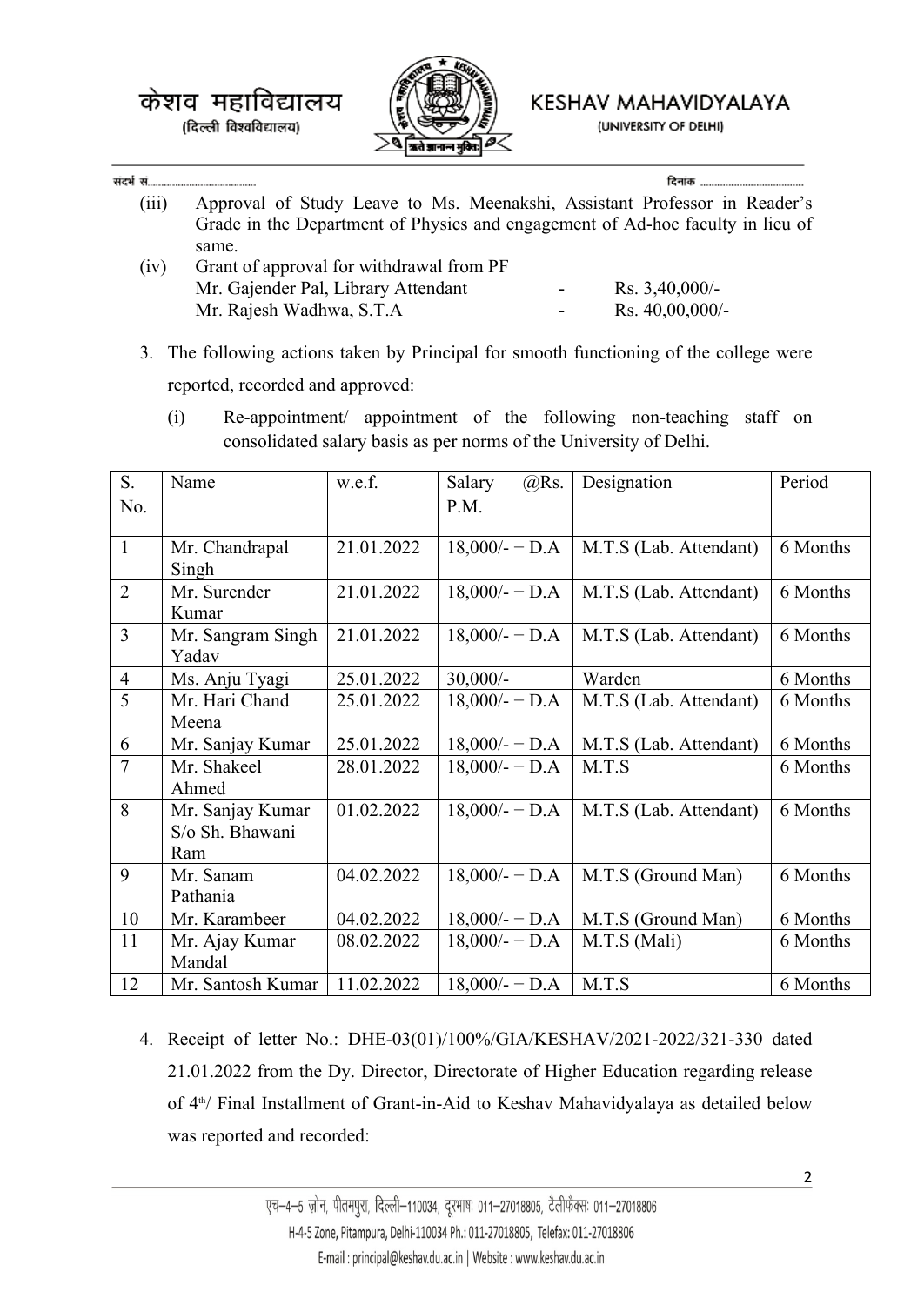

संदर्भ सं..........



KESHAV MAHAVIDYALAYA

(UNIVERSITY OF DELHI)

(iii) Approval of Study Leave to Ms. Meenakshi, Assistant Professor in Reader's Grade in the Department of Physics and engagement of Ad-hoc faculty in lieu of same.

| (iv) | Grant of approval for withdrawal from PF |        |                    |
|------|------------------------------------------|--------|--------------------|
|      | Mr. Gajender Pal, Library Attendant      | $\sim$ | Rs. $3,40,000/-$   |
|      | Mr. Rajesh Wadhwa, S.T.A.                | $\sim$ | Rs. $40,00,000/$ - |

- 3. The following actions taken by Principal for smooth functioning of the college were reported, recorded and approved:
	- (i) Re-appointment/ appointment of the following non-teaching staff on consolidated salary basis as per norms of the University of Delhi.

| S.             | Name              | w.e.f.     | @RS.<br>Salary   | Designation            | Period   |
|----------------|-------------------|------------|------------------|------------------------|----------|
| No.            |                   |            | P.M.             |                        |          |
|                |                   |            |                  |                        |          |
| $\mathbf{1}$   | Mr. Chandrapal    | 21.01.2022 | $18,000/- + D.A$ | M.T.S (Lab. Attendant) | 6 Months |
|                | Singh             |            |                  |                        |          |
| $\overline{2}$ | Mr. Surender      | 21.01.2022 | $18,000/- + D.A$ | M.T.S (Lab. Attendant) | 6 Months |
|                | Kumar             |            |                  |                        |          |
| $\overline{3}$ | Mr. Sangram Singh | 21.01.2022 | $18,000/- + D.A$ | M.T.S (Lab. Attendant) | 6 Months |
|                | Yadav             |            |                  |                        |          |
| $\overline{4}$ | Ms. Anju Tyagi    | 25.01.2022 | $30,000/-$       | Warden                 | 6 Months |
| $\overline{5}$ | Mr. Hari Chand    | 25.01.2022 | $18,000/- + D.A$ | M.T.S (Lab. Attendant) | 6 Months |
|                | Meena             |            |                  |                        |          |
| 6              | Mr. Sanjay Kumar  | 25.01.2022 | $18,000/- + D.A$ | M.T.S (Lab. Attendant) | 6 Months |
| $\overline{7}$ | Mr. Shakeel       | 28.01.2022 | $18,000/- + D.A$ | M.T.S                  | 6 Months |
|                | Ahmed             |            |                  |                        |          |
| 8              | Mr. Sanjay Kumar  | 01.02.2022 | $18,000/- + D.A$ | M.T.S (Lab. Attendant) | 6 Months |
|                | S/o Sh. Bhawani   |            |                  |                        |          |
|                | Ram               |            |                  |                        |          |
| 9              | Mr. Sanam         | 04.02.2022 | $18,000/- + D.A$ | M.T.S (Ground Man)     | 6 Months |
|                | Pathania          |            |                  |                        |          |
| 10             | Mr. Karambeer     | 04.02.2022 | $18,000/- + D.A$ | M.T.S (Ground Man)     | 6 Months |
| 11             | Mr. Ajay Kumar    | 08.02.2022 | $18,000/- + D.A$ | M.T.S (Mali)           | 6 Months |
|                | Mandal            |            |                  |                        |          |
| 12             | Mr. Santosh Kumar | 11.02.2022 | $18,000/- + D.A$ | M.T.S                  | 6 Months |

4. Receipt of letter No.: DHE-03(01)/100%/GIA/KESHAV/2021-2022/321-330 dated 21.01.2022 from the Dy. Director, Directorate of Higher Education regarding release of 4<sup>th</sup>/ Final Installment of Grant-in-Aid to Keshav Mahavidyalaya as detailed below was reported and recorded: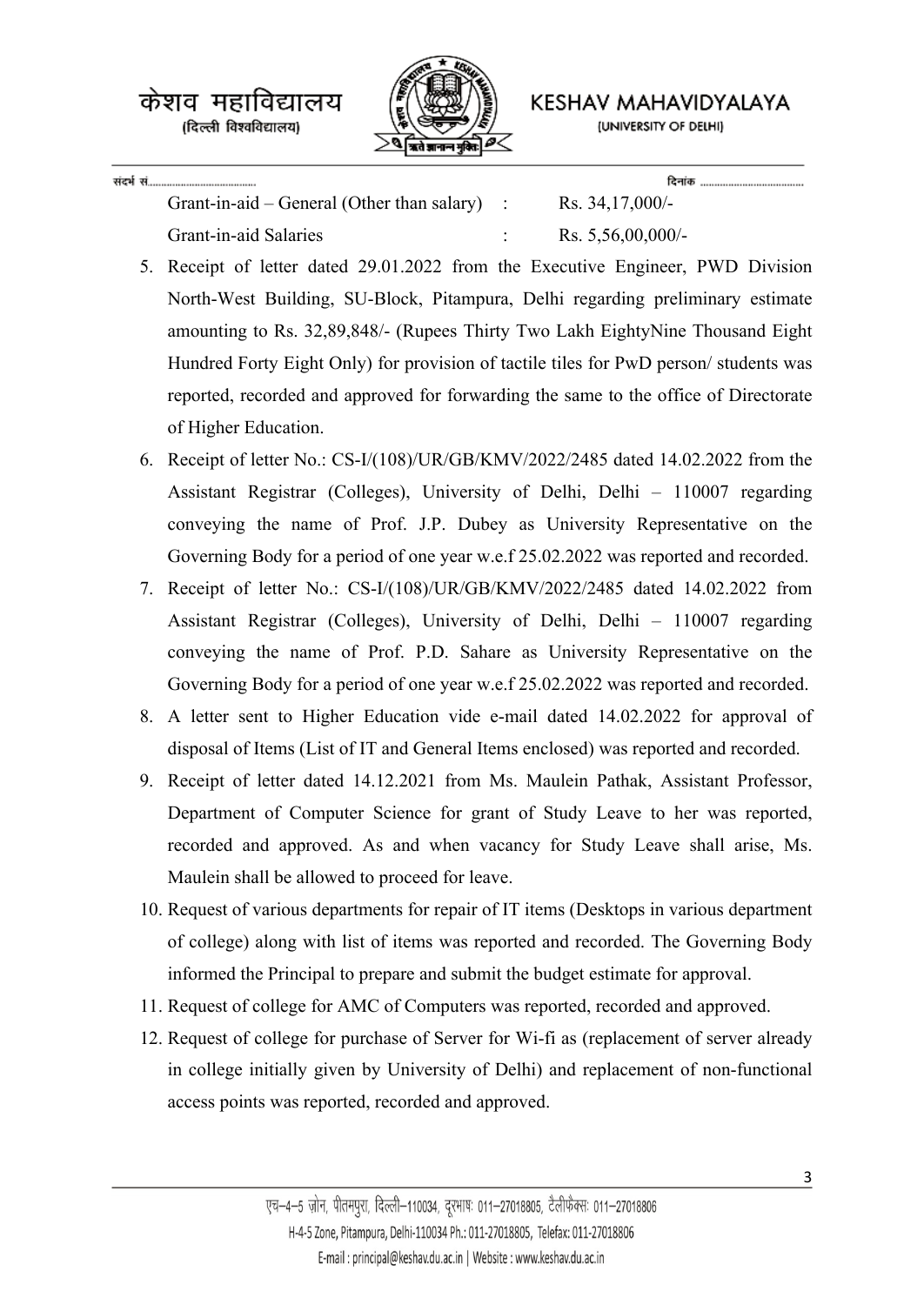केशव महाविद्यालय (दिल्ली विश्वविद्यालय)



KESHAV MAHAVIDYALAYA

(UNIVERSITY OF DELHI)

संदर्भ सं.........

Grant-in-aid – General (Other than salary) : Rs. 34,17,000/-Grant-in-aid Salaries : Rs. 5,56,00,000/-

- 5. Receipt of letter dated 29.01.2022 from the Executive Engineer, PWD Division North-West Building, SU-Block, Pitampura, Delhi regarding preliminary estimate amounting to Rs. 32,89,848/- (Rupees Thirty Two Lakh EightyNine Thousand Eight Hundred Forty Eight Only) for provision of tactile tiles for PwD person/ students was reported, recorded and approved for forwarding the same to the office of Directorate of Higher Education.
- 6. Receipt of letter No.: CS-I/(108)/UR/GB/KMV/2022/2485 dated 14.02.2022 from the Assistant Registrar (Colleges), University of Delhi, Delhi – 110007 regarding conveying the name of Prof. J.P. Dubey as University Representative on the Governing Body for a period of one year w.e.f 25.02.2022 was reported and recorded.
- 7. Receipt of letter No.: CS-I/(108)/UR/GB/KMV/2022/2485 dated 14.02.2022 from Assistant Registrar (Colleges), University of Delhi, Delhi – 110007 regarding conveying the name of Prof. P.D. Sahare as University Representative on the Governing Body for a period of one year w.e.f 25.02.2022 was reported and recorded.
- 8. A letter sent to Higher Education vide e-mail dated 14.02.2022 for approval of disposal of Items (List of IT and General Items enclosed) was reported and recorded.
- 9. Receipt of letter dated 14.12.2021 from Ms. Maulein Pathak, Assistant Professor, Department of Computer Science for grant of Study Leave to her was reported, recorded and approved. As and when vacancy for Study Leave shall arise, Ms. Maulein shall be allowed to proceed for leave.
- 10. Request of various departments for repair of IT items (Desktops in various department of college) along with list of items was reported and recorded. The Governing Body informed the Principal to prepare and submit the budget estimate for approval.
- 11. Request of college for AMC of Computers was reported, recorded and approved.
- 12. Request of college for purchase of Server for Wi-fi as (replacement of server already in college initially given by University of Delhi) and replacement of non-functional access points was reported, recorded and approved.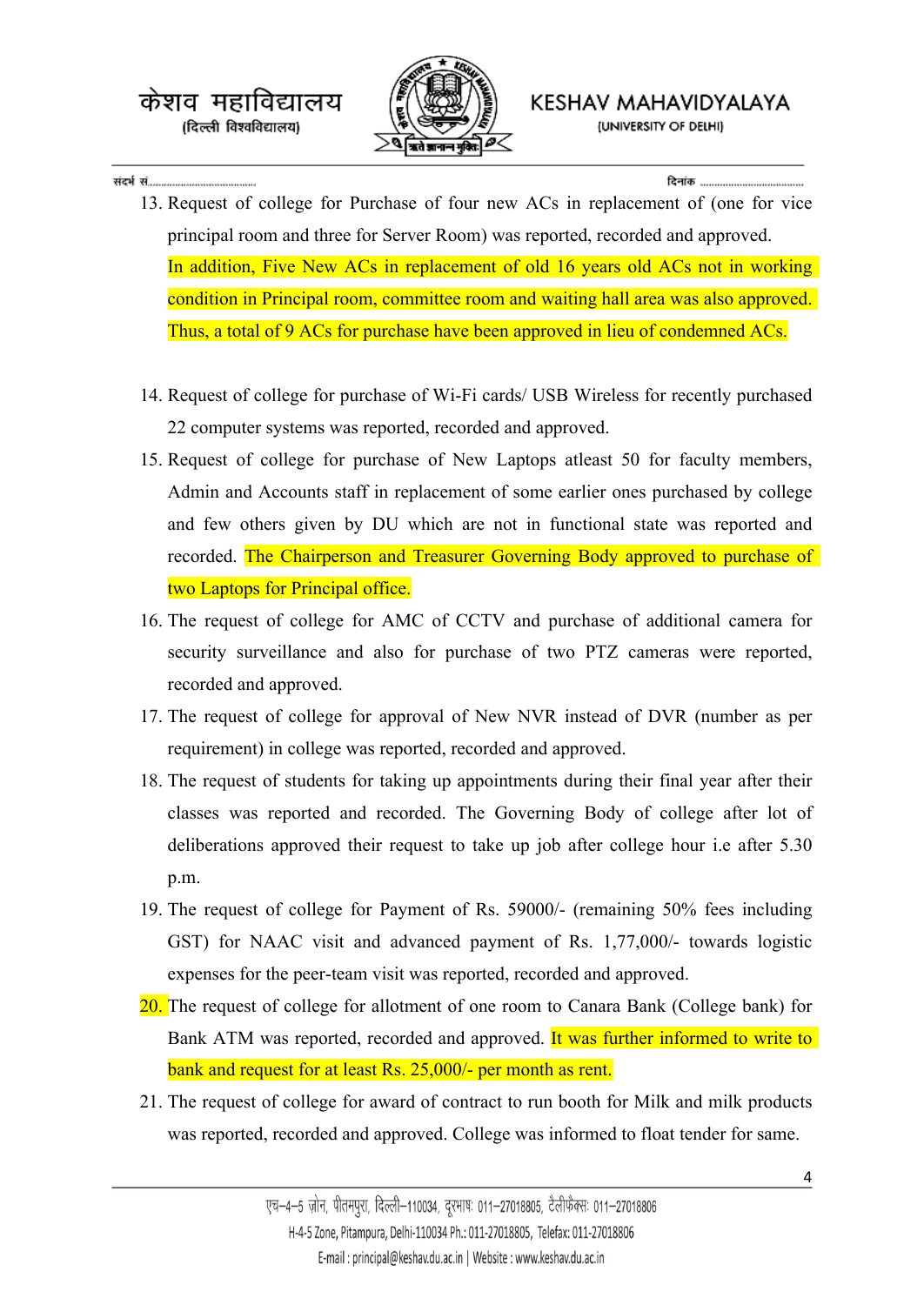

संदर्भ सं............



KESHAV MAHAVIDYALAYA (UNIVERSITY OF DELHI)

दिनांक

- 13. Request of college for Purchase of four new ACs in replacement of (one for vice principal room and three for Server Room) was reported, recorded and approved. In addition, Five New ACs in replacement of old 16 years old ACs not in working condition in Principal room, committee room and waiting hall area was also approved. Thus, a total of 9 ACs for purchase have been approved in lieu of condemned ACs.
- 14. Request of college for purchase of Wi-Fi cards/ USB Wireless for recently purchased 22 computer systems was reported, recorded and approved.
- 15. Request of college for purchase of New Laptops atleast 50 for faculty members, Admin and Accounts staff in replacement of some earlier ones purchased by college and few others given by DU which are not in functional state was reported and recorded. The Chairperson and Treasurer Governing Body approved to purchase of two Laptops for Principal office.
- 16. The request of college for AMC of CCTV and purchase of additional camera for security surveillance and also for purchase of two PTZ cameras were reported, recorded and approved.
- 17. The request of college for approval of New NVR instead of DVR (number as per requirement) in college was reported, recorded and approved.
- 18. The request of students for taking up appointments during their final year after their classes was reported and recorded. The Governing Body of college after lot of deliberations approved their request to take up job after college hour i.e after 5.30 p.m.
- 19. The request of college for Payment of Rs. 59000/- (remaining 50% fees including GST) for NAAC visit and advanced payment of Rs. 1,77,000/- towards logistic expenses for the peer-team visit was reported, recorded and approved.
- 20. The request of college for allotment of one room to Canara Bank (College bank) for Bank ATM was reported, recorded and approved. It was further informed to write to bank and request for at least Rs. 25,000/- per month as rent.
- 21. The request of college for award of contract to run booth for Milk and milk products was reported, recorded and approved. College was informed to float tender for same.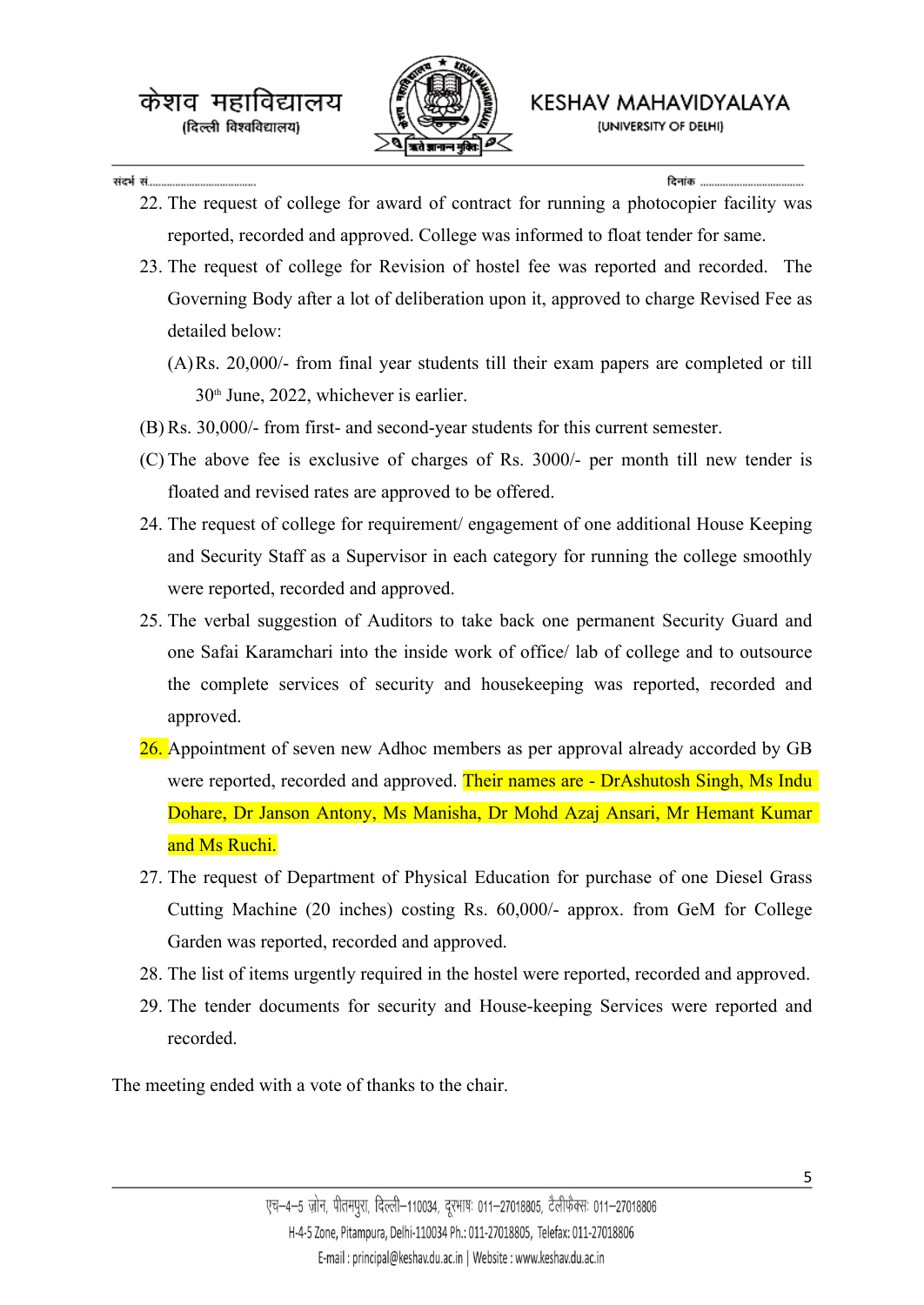संदर्भ सं.............



KESHAV MAHAVIDYALAYA (UNIVERSITY OF DELHI)

दिनांक

- 22. The request of college for award of contract for running a photocopier facility was reported, recorded and approved. College was informed to float tender for same.
- 23. The request of college for Revision of hostel fee was reported and recorded. The Governing Body after a lot of deliberation upon it, approved to charge Revised Fee as detailed below:
	- (A)Rs. 20,000/- from final year students till their exam papers are completed or till  $30<sup>th</sup>$  June, 2022, whichever is earlier.
- (B) Rs. 30,000/- from first- and second-year students for this current semester.
- (C) The above fee is exclusive of charges of Rs. 3000/- per month till new tender is floated and revised rates are approved to be offered.
- 24. The request of college for requirement/ engagement of one additional House Keeping and Security Staff as a Supervisor in each category for running the college smoothly were reported, recorded and approved.
- 25. The verbal suggestion of Auditors to take back one permanent Security Guard and one Safai Karamchari into the inside work of office/ lab of college and to outsource the complete services of security and housekeeping was reported, recorded and approved.
- 26. Appointment of seven new Adhoc members as per approval already accorded by GB were reported, recorded and approved. Their names are - DrAshutosh Singh, Ms Indu Dohare, Dr Janson Antony, Ms Manisha, Dr Mohd Azaj Ansari, Mr Hemant Kumar and Ms Ruchi.
- 27. The request of Department of Physical Education for purchase of one Diesel Grass Cutting Machine (20 inches) costing Rs. 60,000/- approx. from GeM for College Garden was reported, recorded and approved.
- 28. The list of items urgently required in the hostel were reported, recorded and approved.
- 29. The tender documents for security and House-keeping Services were reported and recorded.

The meeting ended with a vote of thanks to the chair.